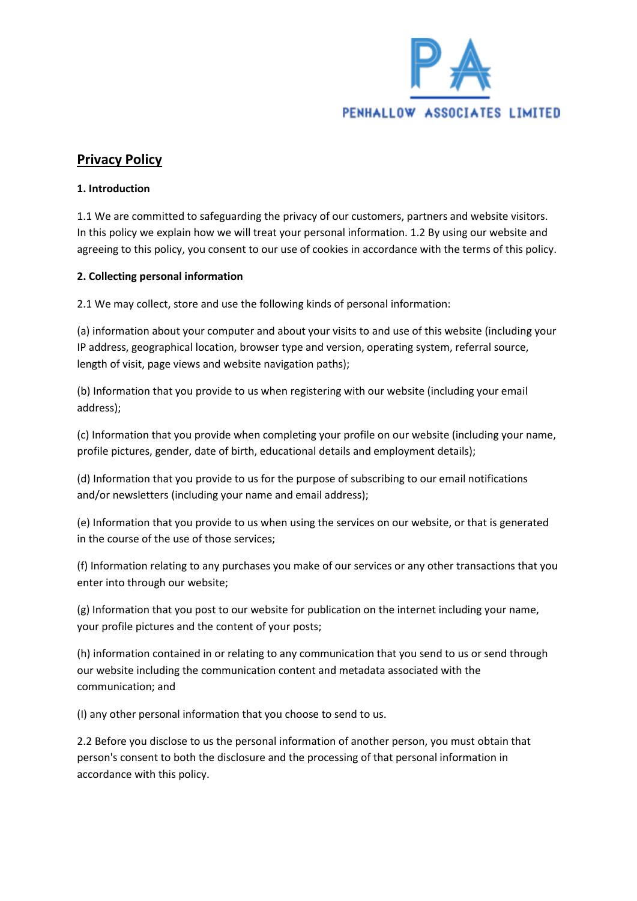

# **Privacy Policy**

### **1. Introduction**

1.1 We are committed to safeguarding the privacy of our customers, partners and website visitors. In this policy we explain how we will treat your personal information. 1.2 By using our website and agreeing to this policy, you consent to our use of cookies in accordance with the terms of this policy.

### **2. Collecting personal information**

2.1 We may collect, store and use the following kinds of personal information:

(a) information about your computer and about your visits to and use of this website (including your IP address, geographical location, browser type and version, operating system, referral source, length of visit, page views and website navigation paths);

(b) Information that you provide to us when registering with our website (including your email address);

(c) Information that you provide when completing your profile on our website (including your name, profile pictures, gender, date of birth, educational details and employment details);

(d) Information that you provide to us for the purpose of subscribing to our email notifications and/or newsletters (including your name and email address);

(e) Information that you provide to us when using the services on our website, or that is generated in the course of the use of those services;

(f) Information relating to any purchases you make of our services or any other transactions that you enter into through our website;

(g) Information that you post to our website for publication on the internet including your name, your profile pictures and the content of your posts;

(h) information contained in or relating to any communication that you send to us or send through our website including the communication content and metadata associated with the communication; and

(I) any other personal information that you choose to send to us.

2.2 Before you disclose to us the personal information of another person, you must obtain that person's consent to both the disclosure and the processing of that personal information in accordance with this policy.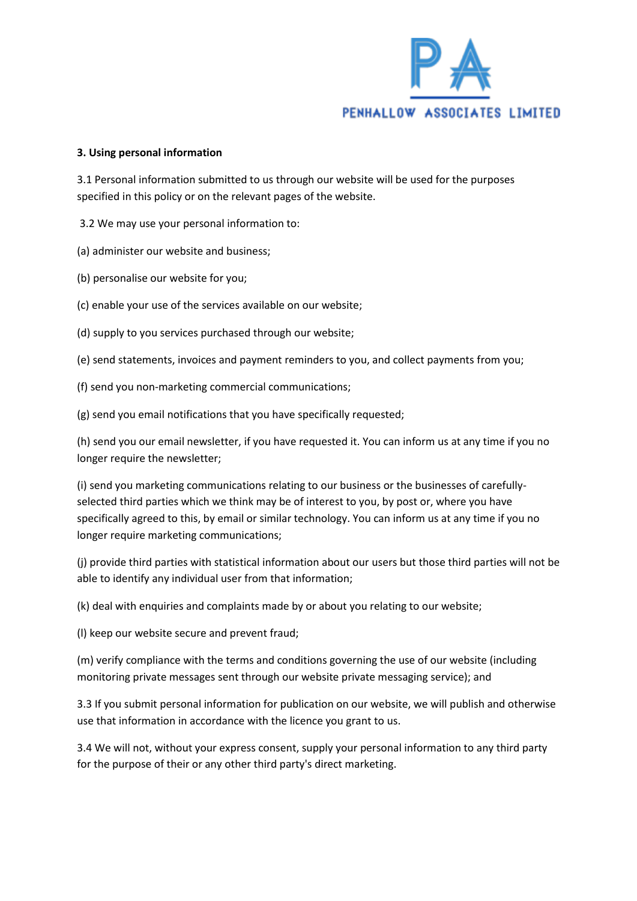

#### **3. Using personal information**

3.1 Personal information submitted to us through our website will be used for the purposes specified in this policy or on the relevant pages of the website.

3.2 We may use your personal information to:

(a) administer our website and business;

(b) personalise our website for you;

(c) enable your use of the services available on our website;

(d) supply to you services purchased through our website;

(e) send statements, invoices and payment reminders to you, and collect payments from you;

(f) send you non-marketing commercial communications;

(g) send you email notifications that you have specifically requested;

(h) send you our email newsletter, if you have requested it. You can inform us at any time if you no longer require the newsletter;

(i) send you marketing communications relating to our business or the businesses of carefullyselected third parties which we think may be of interest to you, by post or, where you have specifically agreed to this, by email or similar technology. You can inform us at any time if you no longer require marketing communications;

(j) provide third parties with statistical information about our users but those third parties will not be able to identify any individual user from that information;

(k) deal with enquiries and complaints made by or about you relating to our website;

(l) keep our website secure and prevent fraud;

(m) verify compliance with the terms and conditions governing the use of our website (including monitoring private messages sent through our website private messaging service); and

3.3 If you submit personal information for publication on our website, we will publish and otherwise use that information in accordance with the licence you grant to us.

3.4 We will not, without your express consent, supply your personal information to any third party for the purpose of their or any other third party's direct marketing.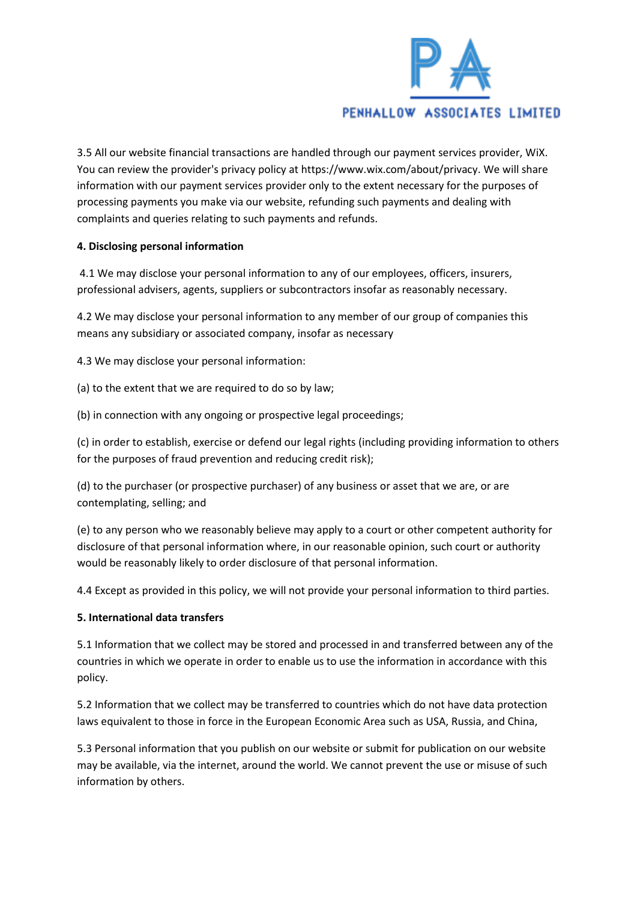

3.5 All our website financial transactions are handled through our payment services provider, WiX. You can review the provider's privacy policy at https://www.wix.com/about/privacy. We will share information with our payment services provider only to the extent necessary for the purposes of processing payments you make via our website, refunding such payments and dealing with complaints and queries relating to such payments and refunds.

### **4. Disclosing personal information**

4.1 We may disclose your personal information to any of our employees, officers, insurers, professional advisers, agents, suppliers or subcontractors insofar as reasonably necessary.

4.2 We may disclose your personal information to any member of our group of companies this means any subsidiary or associated company, insofar as necessary

4.3 We may disclose your personal information:

(a) to the extent that we are required to do so by law;

(b) in connection with any ongoing or prospective legal proceedings;

(c) in order to establish, exercise or defend our legal rights (including providing information to others for the purposes of fraud prevention and reducing credit risk);

(d) to the purchaser (or prospective purchaser) of any business or asset that we are, or are contemplating, selling; and

(e) to any person who we reasonably believe may apply to a court or other competent authority for disclosure of that personal information where, in our reasonable opinion, such court or authority would be reasonably likely to order disclosure of that personal information.

4.4 Except as provided in this policy, we will not provide your personal information to third parties.

#### **5. International data transfers**

5.1 Information that we collect may be stored and processed in and transferred between any of the countries in which we operate in order to enable us to use the information in accordance with this policy.

5.2 Information that we collect may be transferred to countries which do not have data protection laws equivalent to those in force in the European Economic Area such as USA, Russia, and China,

5.3 Personal information that you publish on our website or submit for publication on our website may be available, via the internet, around the world. We cannot prevent the use or misuse of such information by others.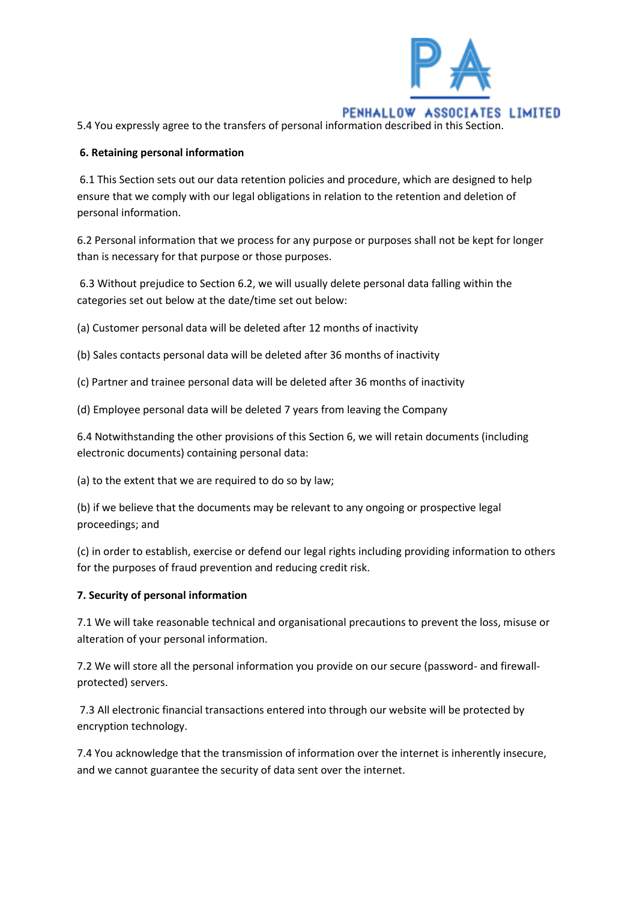

5.4 You expressly agree to the transfers of personal information described in this Section.

### **6. Retaining personal information**

6.1 This Section sets out our data retention policies and procedure, which are designed to help ensure that we comply with our legal obligations in relation to the retention and deletion of personal information.

6.2 Personal information that we process for any purpose or purposes shall not be kept for longer than is necessary for that purpose or those purposes.

6.3 Without prejudice to Section 6.2, we will usually delete personal data falling within the categories set out below at the date/time set out below:

(a) Customer personal data will be deleted after 12 months of inactivity

(b) Sales contacts personal data will be deleted after 36 months of inactivity

(c) Partner and trainee personal data will be deleted after 36 months of inactivity

(d) Employee personal data will be deleted 7 years from leaving the Company

6.4 Notwithstanding the other provisions of this Section 6, we will retain documents (including electronic documents) containing personal data:

(a) to the extent that we are required to do so by law;

(b) if we believe that the documents may be relevant to any ongoing or prospective legal proceedings; and

(c) in order to establish, exercise or defend our legal rights including providing information to others for the purposes of fraud prevention and reducing credit risk.

### **7. Security of personal information**

7.1 We will take reasonable technical and organisational precautions to prevent the loss, misuse or alteration of your personal information.

7.2 We will store all the personal information you provide on our secure (password- and firewallprotected) servers.

7.3 All electronic financial transactions entered into through our website will be protected by encryption technology.

7.4 You acknowledge that the transmission of information over the internet is inherently insecure, and we cannot guarantee the security of data sent over the internet.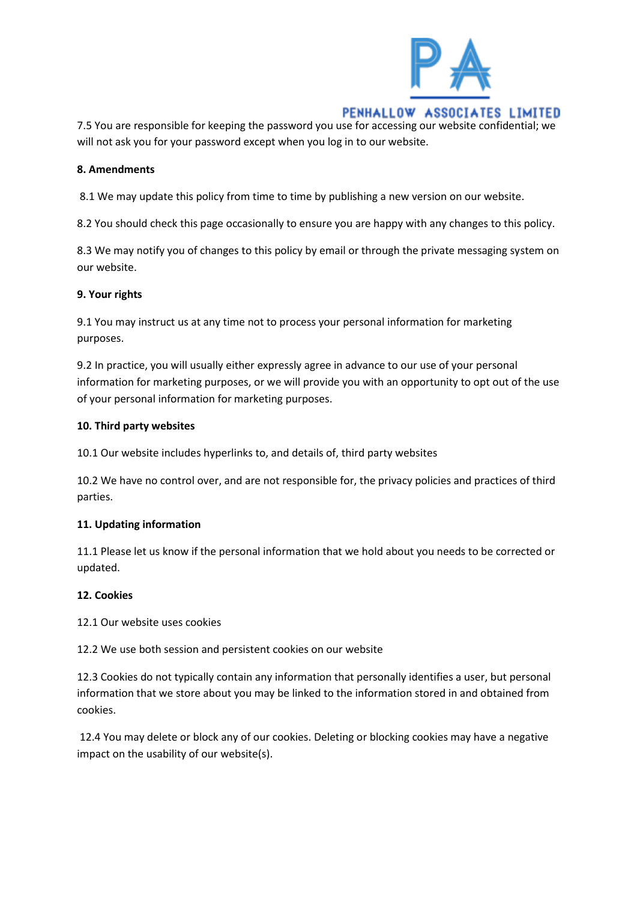

## PENHALLOW ASSOCIATES LIMITED 7.5 You are responsible for keeping the password you use for accessing our website confidential; we

will not ask you for your password except when you log in to our website.

## **8. Amendments**

8.1 We may update this policy from time to time by publishing a new version on our website.

8.2 You should check this page occasionally to ensure you are happy with any changes to this policy.

8.3 We may notify you of changes to this policy by email or through the private messaging system on our website.

### **9. Your rights**

9.1 You may instruct us at any time not to process your personal information for marketing purposes.

9.2 In practice, you will usually either expressly agree in advance to our use of your personal information for marketing purposes, or we will provide you with an opportunity to opt out of the use of your personal information for marketing purposes.

### **10. Third party websites**

10.1 Our website includes hyperlinks to, and details of, third party websites

10.2 We have no control over, and are not responsible for, the privacy policies and practices of third parties.

## **11. Updating information**

11.1 Please let us know if the personal information that we hold about you needs to be corrected or updated.

## **12. Cookies**

12.1 Our website uses cookies

12.2 We use both session and persistent cookies on our website

12.3 Cookies do not typically contain any information that personally identifies a user, but personal information that we store about you may be linked to the information stored in and obtained from cookies.

12.4 You may delete or block any of our cookies. Deleting or blocking cookies may have a negative impact on the usability of our website(s).